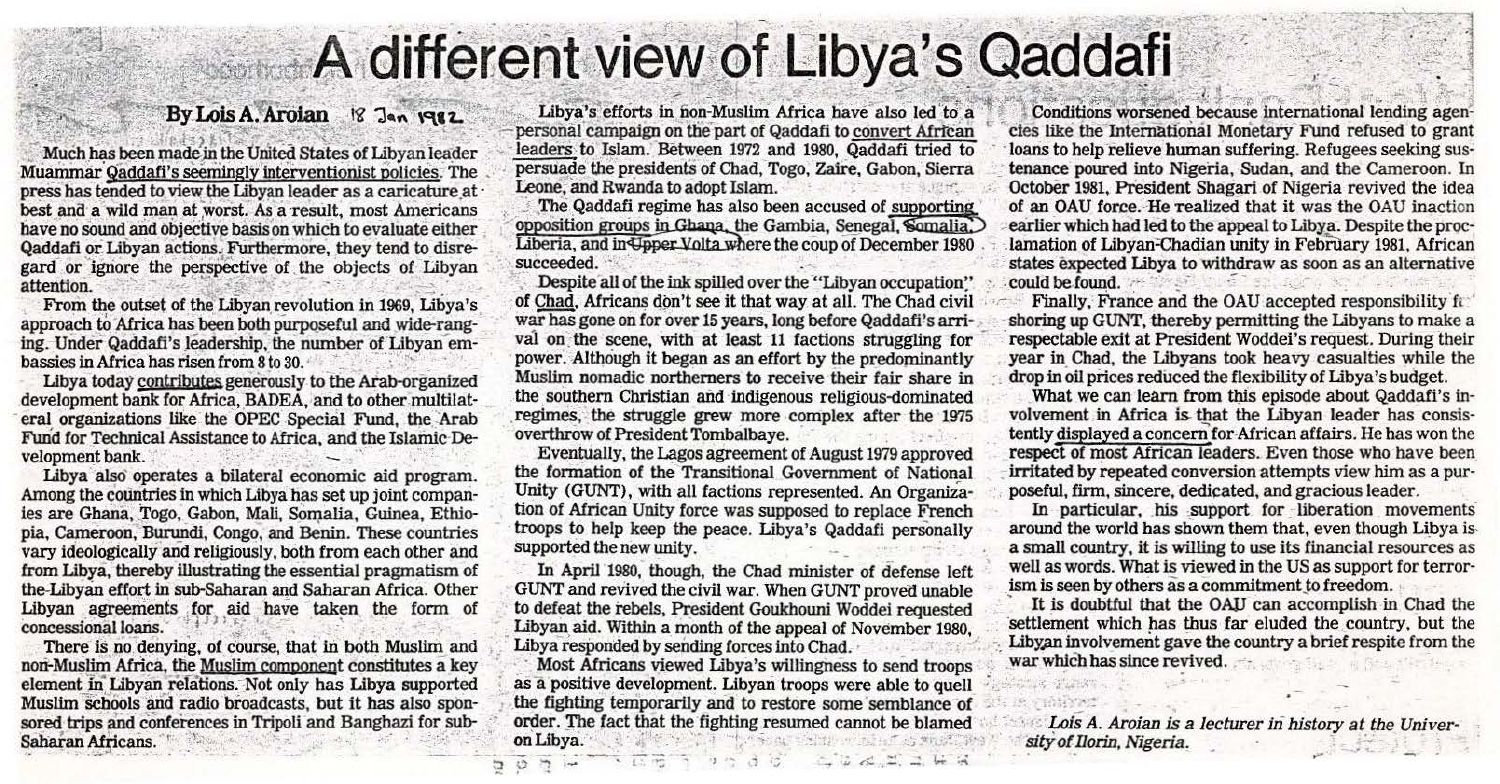## A different view of Libya's Qaddafi

## By Lois A. Aroian 18 Jan 1982

Much has been made in the United States of Libyan leader Muammar Qaddafi's seemingly interventionist policies. The press has tended to view the Libyan leader as a caricature at best and a wild man at worst. As a result, most Americans have no sound and objective basis on which to evaluate either Qaddafi or Libyan actions. Furthermore, they tend to disregard or ignore the perspective of the objects of Libyan attention.

From the outset of the Libyan revolution in 1969, Libya's approach to Africa has been both purposeful and wide-ranging. Under Qaddafi's leadership, the number of Libyan embassies in Africa has risen from 8 to 30.

Libya today contributes generously to the Arab-organized development bank for Africa, BADEA, and to other multilateral organizations like the OPEC Special Fund, the Arab Fund for Technical Assistance to Africa, and the Islamic Development bank.

Libya also operates a bilateral economic aid program. Among the countries in which Libya has set up joint companies are Ghana, Togo, Gabon, Mali, Somalia, Guinea, Ethiopia, Cameroon, Burundi, Congo, and Benin. These countries vary ideologically and religiously, both from each other and from Libya, thereby illustrating the essential pragmatism of the-Libyan effort in sub-Saharan and Saharan Africa. Other Libyan agreements for aid have taken the form of concessional loans.

There is no denying, of course, that in both Muslim and non-Muslim Africa, the Muslim component constitutes a key element in Libyan relations. Not only has Libya supported Muslim schools and radio broadcasts, but it has also sponsored trips and conferences in Tripoli and Banghazi for sub-Saharan Africans.

Libya's efforts in non-Muslim Africa have also led to a personal campaign on the part of Qaddafi to convert African leaders to Islam. Between 1972 and 1980, Qaddafi tried to persuade the presidents of Chad, Togo, Zaire, Gabon, Sierra Leone, and Rwanda to adopt Islam.

The Qaddafi regime has also been accused of supporting opposition groups in Ghana, the Gambia, Senegal, Somalia, Liberia, and in Upper Volta where the coup of December 1980 succeeded.

Despite all of the ink spilled over the "Libyan occupation" of Chad, Africans don't see it that way at all. The Chad civil war has gone on for over 15 years, long before Qaddafi's arrival on the scene, with at least 11 factions struggling for power. Although it began as an effort by the predominantly Muslim nomadic northerners to receive their fair share in the southern Christian and indigenous religious-dominated regimes, the struggle grew more complex after the 1975 overthrow of President Tombalbaye. of service based won

Eventually, the Lagos agreement of August 1979 approved the formation of the Transitional Government of National Unity (GUNT), with all factions represented. An Organization of African Unity force was supposed to replace French troops to help keep the peace. Libya's Qaddafi personally supported the new unity.

In April 1980, though, the Chad minister of defense left GUNT and revived the civil war. When GUNT proved unable to defeat the rebels, President Goukhouni Woddei requested Libyan aid. Within a month of the appeal of November 1980, Libya responded by sending forces into Chad.

Most Africans viewed Libya's willingness to send troops as a positive development. Libyan troops were able to quell the fighting temporarily and to restore some semblance of order. The fact that the fighting resumed cannot be blamed on Libya. When they want of the w

 $\overline{u}$   $\overline{u}$   $\overline{u}$ ,  $\overline{u}$ ,  $\overline{u}$ ,

 $-1.5 - 1.7$ 

ת טח

Conditions worsened because international lending agencies like the International Monetary Fund refused to grant loans to help relieve human suffering. Refugees seeking sustenance poured into Nigeria, Sudan, and the Cameroon. In October 1981, President Shagari of Nigeria revived the idea of an OAU force. He realized that it was the OAU inaction earlier which had led to the appeal to Libya. Despite the proclamation of Libyan-Chadian unity in February 1981, African states expected Libya to withdraw as soon as an alternative could be found. the second second with the second with

Finally, France and the OAU accepted responsibility fa shoring up GUNT, thereby permitting the Libyans to make a respectable exit at President Woddei's request. During their year in Chad, the Libyans took heavy casualties while the drop in oil prices reduced the flexibility of Libya's budget.

What we can learn from this episode about Qaddafi's involvement in Africa is that the Libyan leader has consistently displayed a concern for African affairs. He has won the respect of most African leaders. Even those who have been irritated by repeated conversion attempts view him as a purposeful, firm, sincere, dedicated, and gracious leader.

In particular, his support for liberation movements around the world has shown them that, even though Libya isa small country, it is willing to use its financial resources as well as words. What is viewed in the US as support for terrorism is seen by others as a commitment to freedom.

It is doubtful that the OAU can accomplish in Chad the settlement which has thus far eluded the country, but the Libyan involvement gave the country a brief respite from the war which has since revived.

Lois A. Aroian is a lecturer in history at the University of Ilorin, Nigeria.